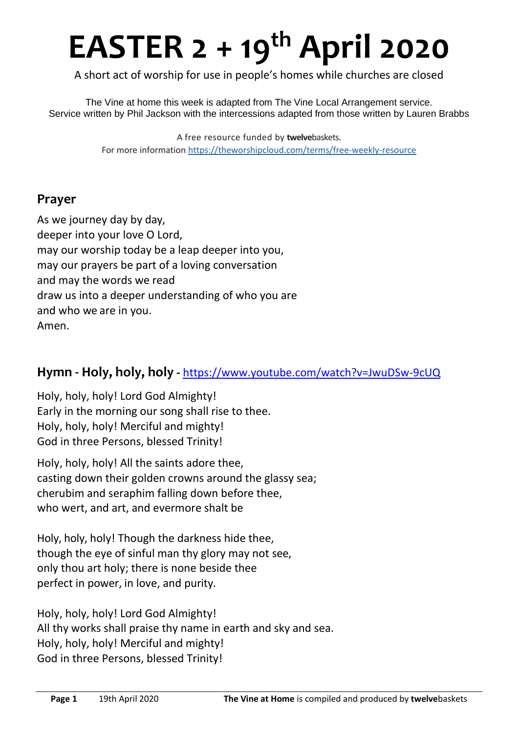# **EASTER 2 + 19 th April 2020**

A short act of worship for use in people's homes while churches are closed

The Vine at home this week is adapted from The Vine Local Arrangement service. Service written by Phil Jackson with the intercessions adapted from those written by Lauren Brabbs

> A free resource funded by **twelve**baskets. For more information https://theworshipcloud.com/terms/free-weekly-resource

## **Prayer**

As we journey day by day, deeper into your love O Lord, may our worship today be a leap deeper into you, may our prayers be part of a loving conversation and may the words we read draw us into a deeper understanding of who you are and who we are in you. Amen.

## **Hymn - Holy, holy, holy -** <https://www.youtube.com/watch?v=JwuDSw-9cUQ>

Holy, holy, holy! Lord God Almighty! Early in the morning our song shall rise to thee. Holy, holy, holy! Merciful and mighty! God in three Persons, blessed Trinity!

Holy, holy, holy! All the saints adore thee, casting down their golden crowns around the glassy sea; cherubim and seraphim falling down before thee, who wert, and art, and evermore shalt be

Holy, holy, holy! Though the darkness hide thee, though the eye of sinful man thy glory may not see, only thou art holy; there is none beside thee perfect in power, in love, and purity.

Holy, holy, holy! Lord God Almighty! All thy works shall praise thy name in earth and sky and sea. Holy, holy, holy! Merciful and mighty! God in three Persons, blessed Trinity!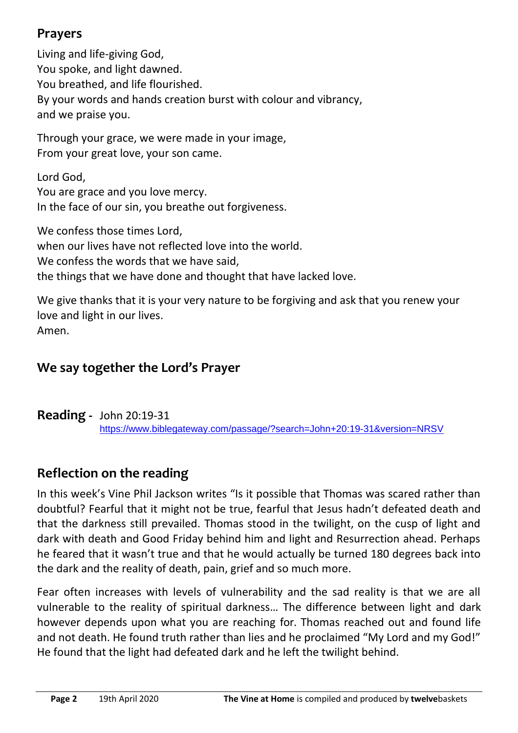# **Prayers**

Living and life-giving God, You spoke, and light dawned. You breathed, and life flourished. By your words and hands creation burst with colour and vibrancy, and we praise you.

Through your grace, we were made in your image, From your great love, your son came.

Lord God, You are grace and you love mercy. In the face of our sin, you breathe out forgiveness.

We confess those times Lord, when our lives have not reflected love into the world. We confess the words that we have said. the things that we have done and thought that have lacked love.

We give thanks that it is your very nature to be forgiving and ask that you renew your love and light in our lives. Amen.

# **We say together the Lord's Prayer**

**Reading -** John 20:19-31 <https://www.biblegateway.com/passage/?search=John+20:19-31&version=NRSV>

# **Reflection on the reading**

In this week's Vine Phil Jackson writes "Is it possible that Thomas was scared rather than doubtful? Fearful that it might not be true, fearful that Jesus hadn't defeated death and that the darkness still prevailed. Thomas stood in the twilight, on the cusp of light and dark with death and Good Friday behind him and light and Resurrection ahead. Perhaps he feared that it wasn't true and that he would actually be turned 180 degrees back into the dark and the reality of death, pain, grief and so much more.

Fear often increases with levels of vulnerability and the sad reality is that we are all vulnerable to the reality of spiritual darkness… The difference between light and dark however depends upon what you are reaching for. Thomas reached out and found life and not death. He found truth rather than lies and he proclaimed "My Lord and my God!" He found that the light had defeated dark and he left the twilight behind.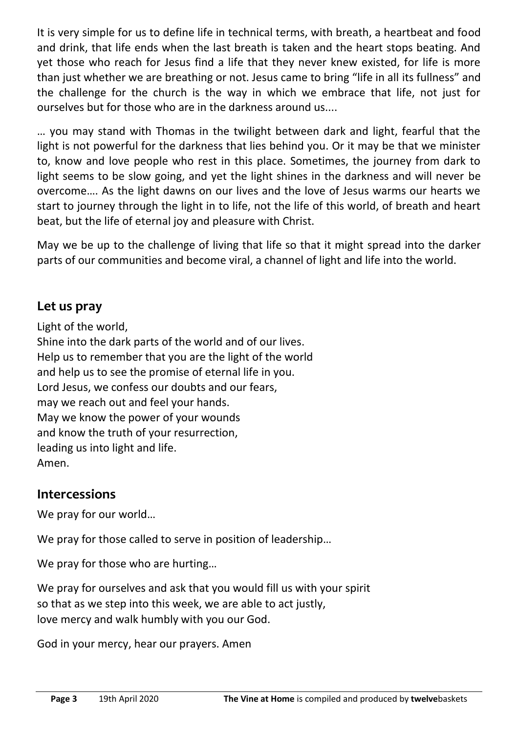It is very simple for us to define life in technical terms, with breath, a heartbeat and food and drink, that life ends when the last breath is taken and the heart stops beating. And yet those who reach for Jesus find a life that they never knew existed, for life is more than just whether we are breathing or not. Jesus came to bring "life in all its fullness" and the challenge for the church is the way in which we embrace that life, not just for ourselves but for those who are in the darkness around us....

… you may stand with Thomas in the twilight between dark and light, fearful that the light is not powerful for the darkness that lies behind you. Or it may be that we minister to, know and love people who rest in this place. Sometimes, the journey from dark to light seems to be slow going, and yet the light shines in the darkness and will never be overcome…. As the light dawns on our lives and the love of Jesus warms our hearts we start to journey through the light in to life, not the life of this world, of breath and heart beat, but the life of eternal joy and pleasure with Christ.

May we be up to the challenge of living that life so that it might spread into the darker parts of our communities and become viral, a channel of light and life into the world.

## **Let us pray**

Light of the world, Shine into the dark parts of the world and of our lives. Help us to remember that you are the light of the world and help us to see the promise of eternal life in you. Lord Jesus, we confess our doubts and our fears, may we reach out and feel your hands. May we know the power of your wounds and know the truth of your resurrection, leading us into light and life. Amen.

## **Intercessions**

We pray for our world…

We pray for those called to serve in position of leadership...

We pray for those who are hurting…

We pray for ourselves and ask that you would fill us with your spirit so that as we step into this week, we are able to act justly, love mercy and walk humbly with you our God.

God in your mercy, hear our prayers. Amen